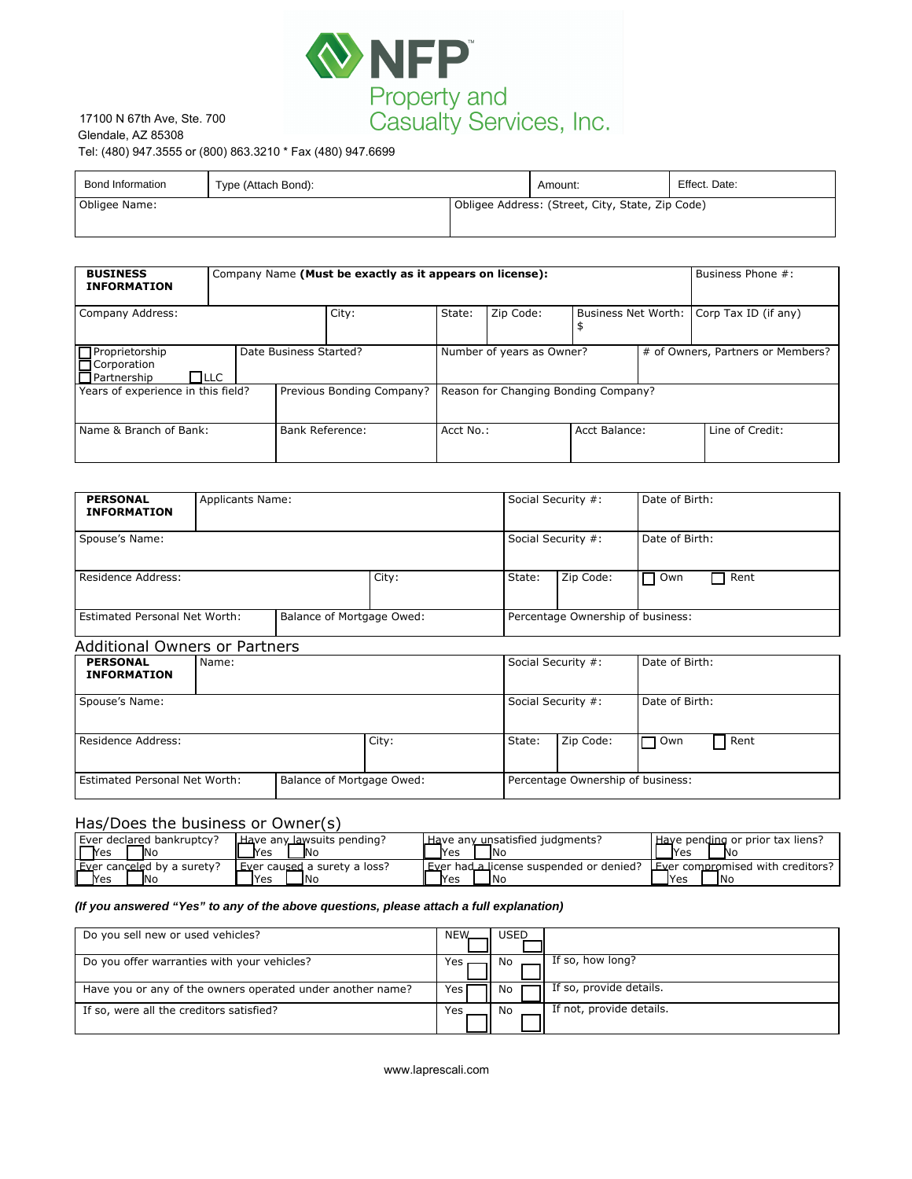

## 17100 N 67th Ave, Ste. 700 Glendale, AZ 85308<br>Tel: (480) 947.3555 or (800) 863.3210 \* Fax (480) 947.6699

| Bond Information | Type (Attach Bond): |  | Amount:                                          | Effect. Date: |
|------------------|---------------------|--|--------------------------------------------------|---------------|
| Obligee Name:    |                     |  | Obligee Address: (Street, City, State, Zip Code) |               |

| <b>Bond Information</b>                                                                     | Type (Attach Bond): |                                                          |      |                                                  |                                   |                                         | Amount:                              |                                               | Effect. Date:        |  |
|---------------------------------------------------------------------------------------------|---------------------|----------------------------------------------------------|------|--------------------------------------------------|-----------------------------------|-----------------------------------------|--------------------------------------|-----------------------------------------------|----------------------|--|
| Obligee Name:                                                                               |                     |                                                          |      | Obligee Address: (Street, City, State, Zip Code) |                                   |                                         |                                      |                                               |                      |  |
|                                                                                             |                     |                                                          |      |                                                  |                                   |                                         |                                      |                                               |                      |  |
| <b>BUSINESS</b><br><b>INFORMATION</b>                                                       |                     | Company Name (Must be exactly as it appears on license): |      |                                                  |                                   |                                         |                                      |                                               | Business Phone #:    |  |
| Company Address:                                                                            |                     | City:                                                    |      | State:                                           |                                   | Zip Code:<br>\$                         |                                      | Business Net Worth:                           | Corp Tax ID (if any) |  |
| Proprietorship<br>Date Business Started?<br>Corporation<br>$\Box$ Partnership<br>$\Box$ LLC |                     |                                                          |      | Number of years as Owner?                        |                                   |                                         |                                      | # of Owners, Partners or Members?             |                      |  |
| Years of experience in this field?                                                          |                     | Previous Bonding Company?                                |      | Reason for Changing Bonding Company?             |                                   |                                         |                                      |                                               |                      |  |
| Name & Branch of Bank:                                                                      |                     | <b>Bank Reference:</b>                                   |      | Acct No.:                                        |                                   |                                         | Acct Balance:                        |                                               | Line of Credit:      |  |
|                                                                                             |                     |                                                          |      |                                                  |                                   |                                         |                                      |                                               |                      |  |
| <b>PERSONAL</b><br><b>INFORMATION</b>                                                       |                     | <b>Applicants Name:</b>                                  |      |                                                  |                                   |                                         | Social Security #:<br>Date of Birth: |                                               |                      |  |
| Spouse's Name:                                                                              |                     |                                                          |      |                                                  |                                   | Social Security #:                      |                                      | Date of Birth:                                |                      |  |
| Residence Address:<br>City:                                                                 |                     |                                                          |      |                                                  |                                   | State:                                  | Zip Code:                            | Own                                           | Rent                 |  |
| Estimated Personal Net Worth:<br>Balance of Mortgage Owed:                                  |                     |                                                          |      |                                                  | Percentage Ownership of business: |                                         |                                      |                                               |                      |  |
| <b>Additional Owners or Partners</b>                                                        |                     |                                                          |      |                                                  |                                   |                                         |                                      |                                               |                      |  |
| <b>PERSONAL</b><br><b>INFORMATION</b>                                                       | Name:               |                                                          |      |                                                  |                                   | Social Security #:<br>Date of Birth:    |                                      |                                               |                      |  |
| Spouse's Name:                                                                              |                     |                                                          |      |                                                  |                                   |                                         | Social Security #:                   | Date of Birth:                                |                      |  |
| <b>Residence Address:</b><br>City:                                                          |                     |                                                          |      |                                                  |                                   | State:                                  | Zip Code:                            | 7 Own                                         | Rent                 |  |
| Balance of Mortgage Owed:<br>Estimated Personal Net Worth:                                  |                     |                                                          |      | Percentage Ownership of business:                |                                   |                                         |                                      |                                               |                      |  |
| Has/Does the business or Owner(s)                                                           |                     |                                                          |      |                                                  |                                   |                                         |                                      |                                               |                      |  |
| Ever declared bankruptcy?<br>Have any lawsuits pending?<br>No<br>Yes<br>Yes<br>Νo           |                     |                                                          | Yes  | No                                               |                                   | Have any unsatisfied judgments?         | Yes                                  | Have pending or prior tax liens?<br>No        |                      |  |
| Ever canceled by a surety?<br>Ever caused a surety a loss?<br><b>No</b><br>Yes<br>Yes<br>No |                     |                                                          | Yes  | No                                               |                                   | Ever had a license suspended or denied? | Yes                                  | Ever compromised with creditors?<br><b>No</b> |                      |  |
| (If you answered "Yes" to any of the above questions, please attach a full explanation)     |                     |                                                          |      |                                                  |                                   |                                         |                                      |                                               |                      |  |
| Do you sell new or used vehicles?                                                           |                     |                                                          | NEW. | <b>USED</b>                                      |                                   |                                         |                                      |                                               |                      |  |
| Do you offer warranties with your vehicles?                                                 |                     |                                                          |      | Yes                                              | No                                |                                         | If so, how long?                     |                                               |                      |  |
| Have you or any of the owners operated under another name?                                  |                     |                                                          |      | Yes                                              | No                                |                                         | If so, provide details.              |                                               |                      |  |
| If so, were all the creditors satisfied?                                                    |                     |                                                          |      | Yes                                              | No                                |                                         | If not, provide details.             |                                               |                      |  |

| <b>PERSONAL</b><br><b>INFORMATION</b> | <b>Applicants Name:</b> |                           |       | Social Security #:                |                    | Date of Birth:          |  |
|---------------------------------------|-------------------------|---------------------------|-------|-----------------------------------|--------------------|-------------------------|--|
| Spouse's Name:                        |                         |                           |       |                                   | Social Security #: | Date of Birth:          |  |
| Residence Address:                    |                         |                           | City: | State:                            | Zip Code:          | Rent<br>Own             |  |
| <b>Estimated Personal Net Worth:</b>  |                         | Balance of Mortgage Owed: |       | Percentage Ownership of business: |                    |                         |  |
| <b>Additional Owners or Partners</b>  |                         |                           |       |                                   |                    |                         |  |
| <b>BEBCANAL</b>                       | $N = 222$               |                           |       | $C = -1 - C = -1$                 |                    | $D = L = L D \cdot L L$ |  |

| <b>PERSONAL</b><br><b>INFORMATION</b>                      | Name: |  |       | Social Security #:                |           | Date of Birth: |      |
|------------------------------------------------------------|-------|--|-------|-----------------------------------|-----------|----------------|------|
| Spouse's Name:                                             |       |  |       | Social Security #:                |           | Date of Birth: |      |
| Residence Address:                                         |       |  | City: | State:                            | Zip Code: | $\Box$ Own     | Rent |
| Estimated Personal Net Worth:<br>Balance of Mortgage Owed: |       |  |       | Percentage Ownership of business: |           |                |      |

## Has/Does the business or Owner(s)

| Ever declared bankruptcy?  | Have any lawsuits pending?   | Have any unsatisfied judgments?         | Have pending or prior tax liens? |
|----------------------------|------------------------------|-----------------------------------------|----------------------------------|
| <b>T</b> res               | <b>No</b>                    | - INc                                   | <b>IYes</b>                      |
| <b>IN</b>                  | Yes                          | <b>Nes</b>                              | <b>Nc</b>                        |
| Ever canceled by a surety? | Ever caused a surety a loss? | Ever had a license suspended or denied? | Ever compromised with creditors? |
| Ƴes                        | 1Nc                          | <b>IN</b> c                             | <b>IYes</b>                      |
| <b>IN</b> o                | lYes                         | <b>I</b> Yes                            | <b>INo</b>                       |

## **(If you answered "Yes" to any of the above questions, please attach a full explanation)**

| Do you sell new or used vehicles?                          | NEW.<br><b>USED</b>                   |
|------------------------------------------------------------|---------------------------------------|
| Do you offer warranties with your vehicles?                | If so, how long?<br>Yes<br>No         |
| Have you or any of the owners operated under another name? | If so, provide details.<br>Yes,<br>Nο |
| If so, were all the creditors satisfied?                   | If not, provide details.<br>Yes<br>No |